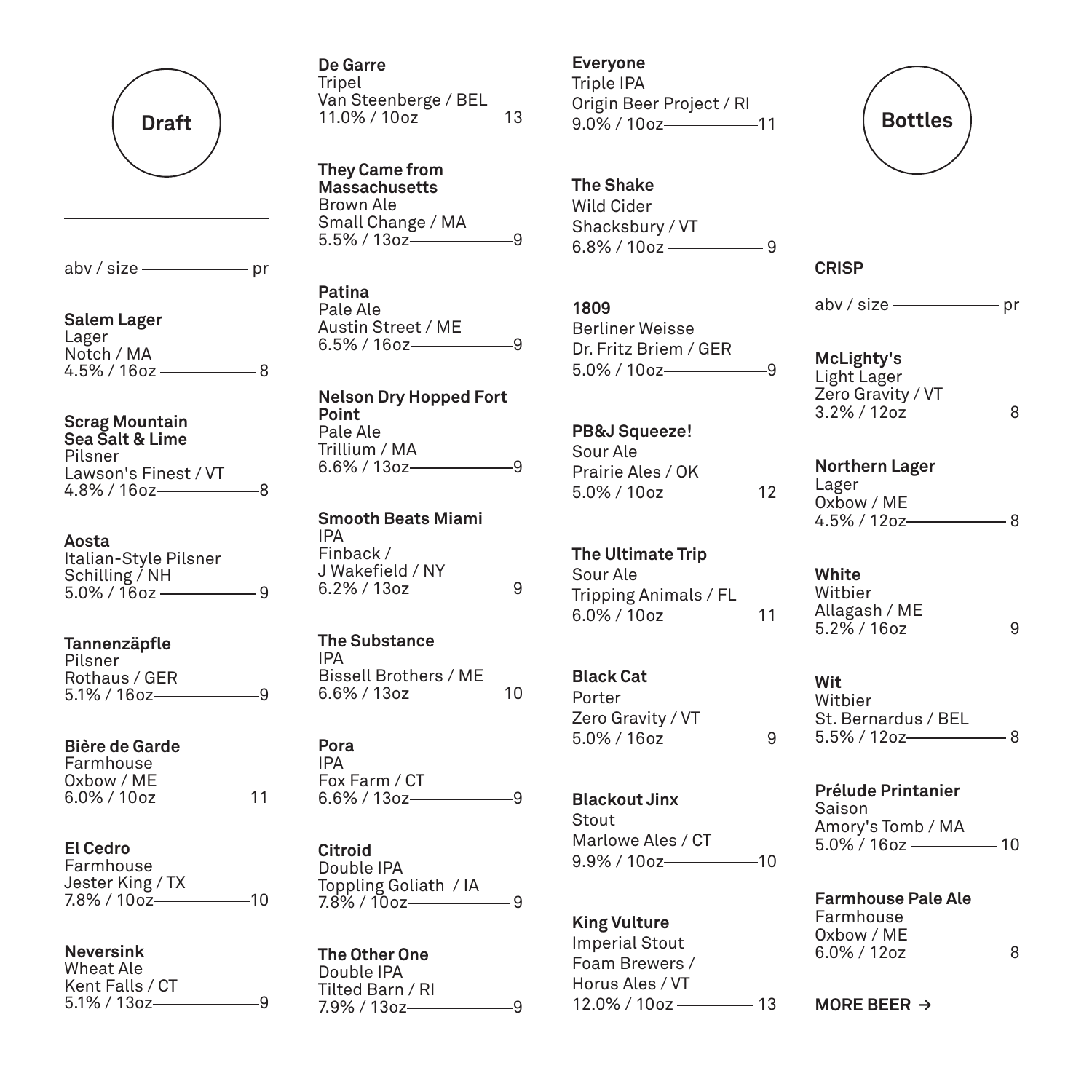

 $abv / size$  pr

**Salem Lager** Lager Notch / MA  $4.5\%$  / 16oz  $\frac{1}{2}$  8

### **Scrag Mountain Sea Salt & Lime** Pilsner

Lawson's Finest / VT  $4.8\%$  / 16oz  $-$  8

**Aosta** Italian-Style Pilsner Schilling / NH 5.0% / 16oz 9

**Tannenzäpfle** Pilsner Rothaus / GER  $5.1\%$  / 16oz 9

**Bière de Garde** Farmhouse Oxbow / ME  $6.0\%$  /  $100z$  11

**El Cedro** Farmhouse Jester King / TX 7.8% / 10oz—————10

**Neversink** Wheat Ale Kent Falls / CT  $5.1\%$  /  $130z$  9 **De Garre** Tripel Van Steenberge / BEL 11.0% / 10oz 13

**They Came from Massachusetts** Brown Ale Small Change / MA  $5.5\%$  /  $13oz$   $\overline{\phantom{2}}$ 

**Patina** Pale Ale Austin Street / ME  $6.5\%$  / 16oz 9

**Nelson Dry Hopped Fort Point** Pale Ale Trillium / MA  $6.6\%$  / 13oz 9

**Smooth Beats Miami** IPA Finback / J Wakefield / NY  $6.2\%$  / 13oz-

**The Substance** IPA Bissell Brothers / ME 6.6% / 13oz 10

**Pora** IPA Fox Farm / CT  $6.6\%$  / 13oz 9

**Citroid** Double IPA Toppling Goliath / IA  $7.8\%$  / 10oz 9

**The Other One** Double IPA Tilted Barn / RI  $7.9\%$  / 13oz 9

# **Everyone**

Triple IPA Origin Beer Project / RI 9.0% / 10oz-11

**The Shake**

Wild Cider Shacksbury / VT  $6.8\%$  /  $10$ oz  $-$ 9

**1809**

Berliner Weisse Dr. Fritz Briem / GER 5.0% / 10oz 9

**PB&J Squeeze!** Sour Ale Prairie Ales / OK 5.0% / 10oz-12

**The Ultimate Trip** Sour Ale Tripping Animals / FL  $6.0\%$  / 10oz 11

**Black Cat** Porter Zero Gravity / VT  $5.0\%$  / 16oz  $-$  9

**Blackout Jinx** Stout Marlowe Ales / CT 9.9% / 10oz-10

**King Vulture** Imperial Stout Foam Brewers / Horus Ales / VT  $12.0\%$  /  $10$ oz  $\longrightarrow$  13 **Bottles**

**CRISP** 

 $abv / size$  pr

**McLighty's** Light Lager Zero Gravity / VT 3.2% / 12oz 8

**Northern Lager** Lager Oxbow / ME  $4.5\%$  / 12oz  $-$  8

**White** Witbier Allagash / ME  $5.2\%$  / 16oz  $-$  9

**Wit**  Witbier St. Bernardus / BEL  $5.5\%$  / 12oz  $-$  8

**Prélude Printanier**  Saison Amory's Tomb / MA 5.0% / 16oz 10

**Farmhouse Pale Ale**  Farmhouse Oxbow / ME 6.0% / 12oz 8

**MORE BEER ≥**